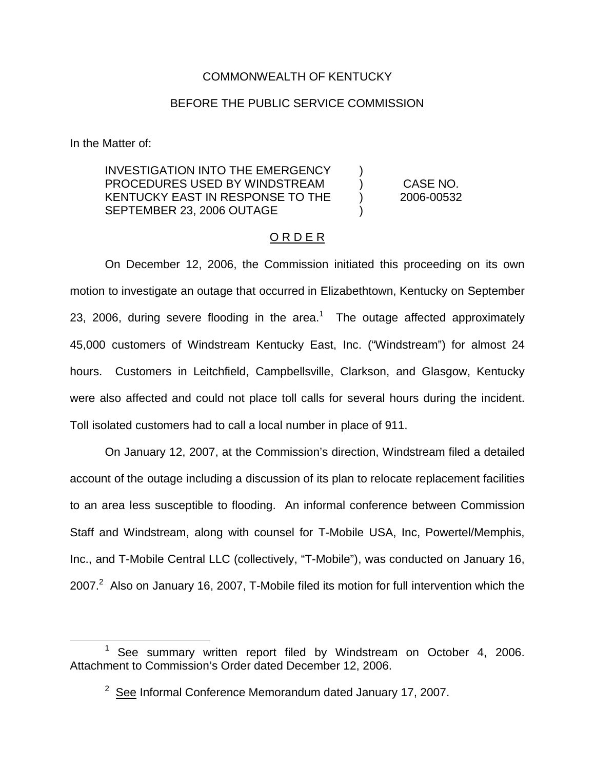# COMMONWEALTH OF KENTUCKY

## BEFORE THE PUBLIC SERVICE COMMISSION

In the Matter of:

INVESTIGATION INTO THE EMERGENCY PROCEDURES USED BY WINDSTREAM KENTUCKY EAST IN RESPONSE TO THE SEPTEMBER 23, 2006 OUTAGE

CASE NO. 2006-00532

) ) ) )

## O R D E R

On December 12, 2006, the Commission initiated this proceeding on its own motion to investigate an outage that occurred in Elizabethtown, Kentucky on September 23, 2006, during severe flooding in the area.<sup>1</sup> The outage affected approximately 45,000 customers of Windstream Kentucky East, Inc. ("Windstream") for almost 24 hours. Customers in Leitchfield, Campbellsville, Clarkson, and Glasgow, Kentucky were also affected and could not place toll calls for several hours during the incident. Toll isolated customers had to call a local number in place of 911.

On January 12, 2007, at the Commission's direction, Windstream filed a detailed account of the outage including a discussion of its plan to relocate replacement facilities to an area less susceptible to flooding. An informal conference between Commission Staff and Windstream, along with counsel for T-Mobile USA, Inc, Powertel/Memphis, Inc., and T-Mobile Central LLC (collectively, "T-Mobile"), was conducted on January 16, 2007. $^2$  Also on January 16, 2007, T-Mobile filed its motion for full intervention which the

 $1$  See summary written report filed by Windstream on October 4, 2006. Attachment to Commission's Order dated December 12, 2006.

 $2$  See Informal Conference Memorandum dated January 17, 2007.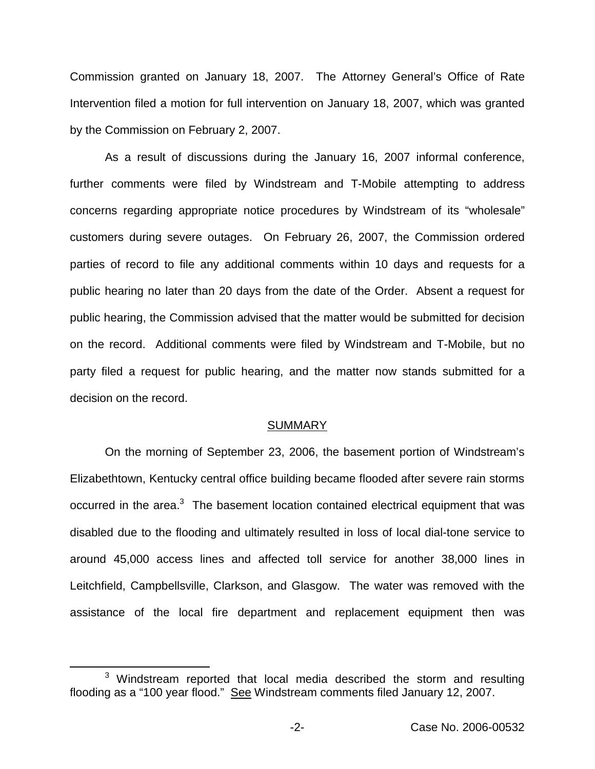Commission granted on January 18, 2007. The Attorney General's Office of Rate Intervention filed a motion for full intervention on January 18, 2007, which was granted by the Commission on February 2, 2007.

As a result of discussions during the January 16, 2007 informal conference, further comments were filed by Windstream and T-Mobile attempting to address concerns regarding appropriate notice procedures by Windstream of its "wholesale" customers during severe outages. On February 26, 2007, the Commission ordered parties of record to file any additional comments within 10 days and requests for a public hearing no later than 20 days from the date of the Order. Absent a request for public hearing, the Commission advised that the matter would be submitted for decision on the record. Additional comments were filed by Windstream and T-Mobile, but no party filed a request for public hearing, and the matter now stands submitted for a decision on the record.

### **SUMMARY**

On the morning of September 23, 2006, the basement portion of Windstream's Elizabethtown, Kentucky central office building became flooded after severe rain storms occurred in the area.<sup>3</sup> The basement location contained electrical equipment that was disabled due to the flooding and ultimately resulted in loss of local dial-tone service to around 45,000 access lines and affected toll service for another 38,000 lines in Leitchfield, Campbellsville, Clarkson, and Glasgow. The water was removed with the assistance of the local fire department and replacement equipment then was

 $3$  Windstream reported that local media described the storm and resulting flooding as a "100 year flood." See Windstream comments filed January 12, 2007.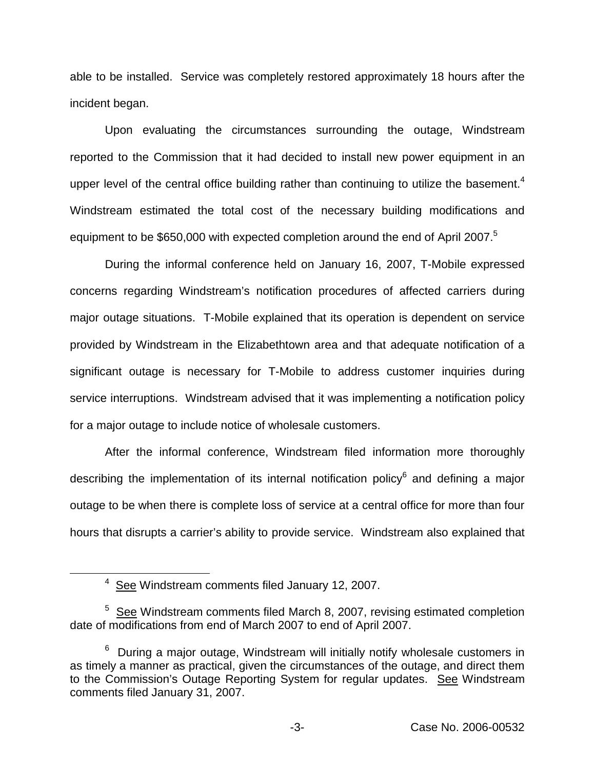able to be installed. Service was completely restored approximately 18 hours after the incident began.

Upon evaluating the circumstances surrounding the outage, Windstream reported to the Commission that it had decided to install new power equipment in an upper level of the central office building rather than continuing to utilize the basement.<sup>4</sup> Windstream estimated the total cost of the necessary building modifications and equipment to be \$650,000 with expected completion around the end of April 2007.<sup>5</sup>

During the informal conference held on January 16, 2007, T-Mobile expressed concerns regarding Windstream's notification procedures of affected carriers during major outage situations. T-Mobile explained that its operation is dependent on service provided by Windstream in the Elizabethtown area and that adequate notification of a significant outage is necessary for T-Mobile to address customer inquiries during service interruptions. Windstream advised that it was implementing a notification policy for a major outage to include notice of wholesale customers.

After the informal conference, Windstream filed information more thoroughly describing the implementation of its internal notification policy $6$  and defining a major outage to be when there is complete loss of service at a central office for more than four hours that disrupts a carrier's ability to provide service. Windstream also explained that

<sup>4</sup> See Windstream comments filed January 12, 2007.

 $5$  See Windstream comments filed March 8, 2007, revising estimated completion date of modifications from end of March 2007 to end of April 2007.

 $6$  During a major outage, Windstream will initially notify wholesale customers in as timely a manner as practical, given the circumstances of the outage, and direct them to the Commission's Outage Reporting System for regular updates. See Windstream comments filed January 31, 2007.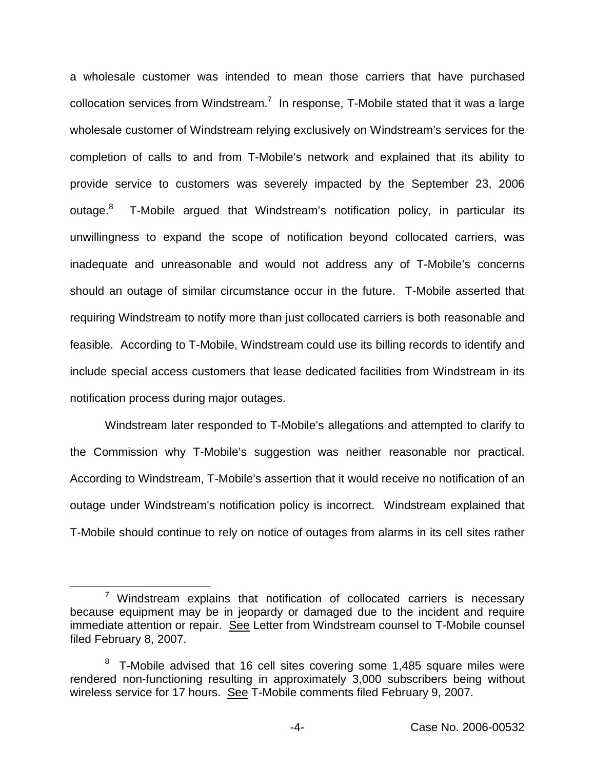a wholesale customer was intended to mean those carriers that have purchased collocation services from Windstream.<sup>7</sup> In response, T-Mobile stated that it was a large wholesale customer of Windstream relying exclusively on Windstream's services for the completion of calls to and from T-Mobile's network and explained that its ability to provide service to customers was severely impacted by the September 23, 2006 outage.<sup>8</sup> T-Mobile argued that Windstream's notification policy, in particular its unwillingness to expand the scope of notification beyond collocated carriers, was inadequate and unreasonable and would not address any of T-Mobile's concerns should an outage of similar circumstance occur in the future. T-Mobile asserted that requiring Windstream to notify more than just collocated carriers is both reasonable and feasible. According to T-Mobile, Windstream could use its billing records to identify and include special access customers that lease dedicated facilities from Windstream in its notification process during major outages.

Windstream later responded to T-Mobile's allegations and attempted to clarify to the Commission why T-Mobile's suggestion was neither reasonable nor practical. According to Windstream, T-Mobile's assertion that it would receive no notification of an outage under Windstream's notification policy is incorrect. Windstream explained that T-Mobile should continue to rely on notice of outages from alarms in its cell sites rather

 $7$  Windstream explains that notification of collocated carriers is necessary because equipment may be in jeopardy or damaged due to the incident and require immediate attention or repair. See Letter from Windstream counsel to T-Mobile counsel filed February 8, 2007.

T-Mobile advised that 16 cell sites covering some 1,485 square miles were rendered non-functioning resulting in approximately 3,000 subscribers being without wireless service for 17 hours. See T-Mobile comments filed February 9, 2007.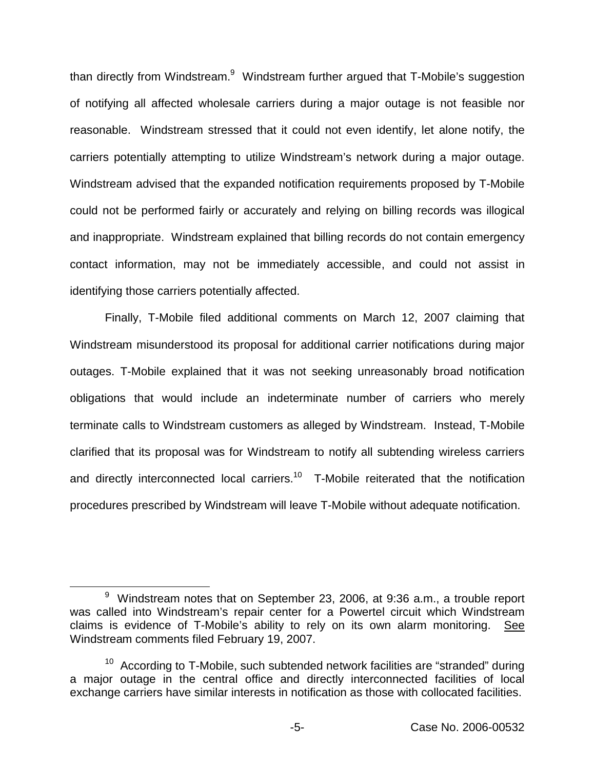than directly from Windstream.<sup>9</sup> Windstream further argued that T-Mobile's suggestion of notifying all affected wholesale carriers during a major outage is not feasible nor reasonable. Windstream stressed that it could not even identify, let alone notify, the carriers potentially attempting to utilize Windstream's network during a major outage. Windstream advised that the expanded notification requirements proposed by T-Mobile could not be performed fairly or accurately and relying on billing records was illogical and inappropriate. Windstream explained that billing records do not contain emergency contact information, may not be immediately accessible, and could not assist in identifying those carriers potentially affected.

Finally, T-Mobile filed additional comments on March 12, 2007 claiming that Windstream misunderstood its proposal for additional carrier notifications during major outages. T-Mobile explained that it was not seeking unreasonably broad notification obligations that would include an indeterminate number of carriers who merely terminate calls to Windstream customers as alleged by Windstream. Instead, T-Mobile clarified that its proposal was for Windstream to notify all subtending wireless carriers and directly interconnected local carriers.<sup>10</sup> T-Mobile reiterated that the notification procedures prescribed by Windstream will leave T-Mobile without adequate notification.

 $9$  Windstream notes that on September 23, 2006, at 9:36 a.m., a trouble report was called into Windstream's repair center for a Powertel circuit which Windstream claims is evidence of T-Mobile's ability to rely on its own alarm monitoring. See Windstream comments filed February 19, 2007.

 $10$  According to T-Mobile, such subtended network facilities are "stranded" during a major outage in the central office and directly interconnected facilities of local exchange carriers have similar interests in notification as those with collocated facilities.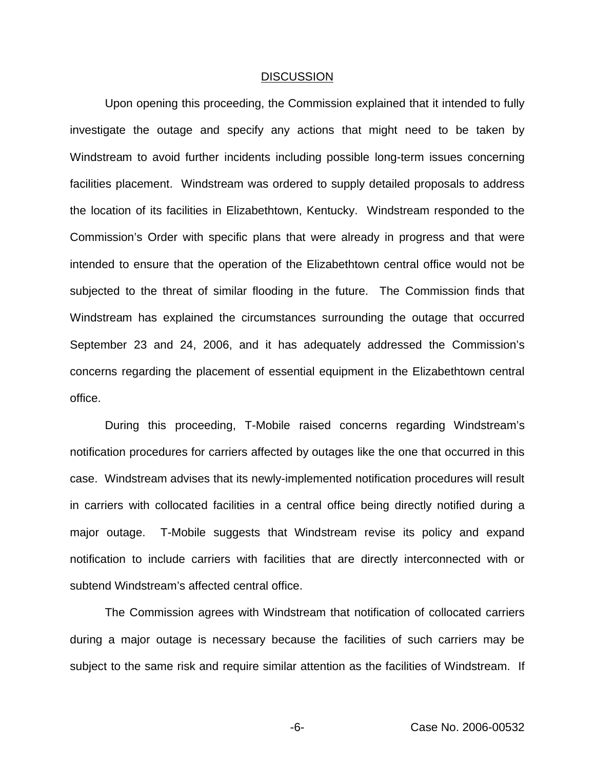#### DISCUSSION

Upon opening this proceeding, the Commission explained that it intended to fully investigate the outage and specify any actions that might need to be taken by Windstream to avoid further incidents including possible long-term issues concerning facilities placement. Windstream was ordered to supply detailed proposals to address the location of its facilities in Elizabethtown, Kentucky. Windstream responded to the Commission's Order with specific plans that were already in progress and that were intended to ensure that the operation of the Elizabethtown central office would not be subjected to the threat of similar flooding in the future. The Commission finds that Windstream has explained the circumstances surrounding the outage that occurred September 23 and 24, 2006, and it has adequately addressed the Commission's concerns regarding the placement of essential equipment in the Elizabethtown central office.

During this proceeding, T-Mobile raised concerns regarding Windstream's notification procedures for carriers affected by outages like the one that occurred in this case. Windstream advises that its newly-implemented notification procedures will result in carriers with collocated facilities in a central office being directly notified during a major outage. T-Mobile suggests that Windstream revise its policy and expand notification to include carriers with facilities that are directly interconnected with or subtend Windstream's affected central office.

The Commission agrees with Windstream that notification of collocated carriers during a major outage is necessary because the facilities of such carriers may be subject to the same risk and require similar attention as the facilities of Windstream. If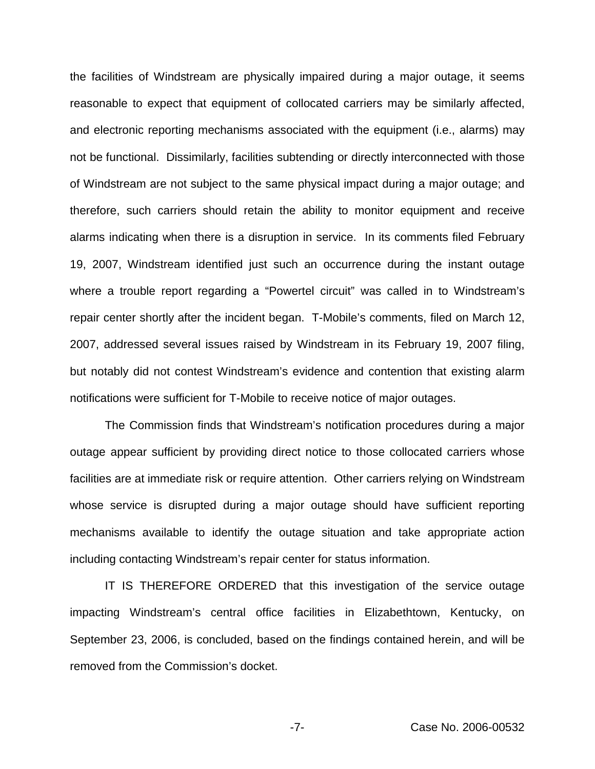the facilities of Windstream are physically impaired during a major outage, it seems reasonable to expect that equipment of collocated carriers may be similarly affected, and electronic reporting mechanisms associated with the equipment (i.e., alarms) may not be functional. Dissimilarly, facilities subtending or directly interconnected with those of Windstream are not subject to the same physical impact during a major outage; and therefore, such carriers should retain the ability to monitor equipment and receive alarms indicating when there is a disruption in service. In its comments filed February 19, 2007, Windstream identified just such an occurrence during the instant outage where a trouble report regarding a "Powertel circuit" was called in to Windstream's repair center shortly after the incident began. T-Mobile's comments, filed on March 12, 2007, addressed several issues raised by Windstream in its February 19, 2007 filing, but notably did not contest Windstream's evidence and contention that existing alarm notifications were sufficient for T-Mobile to receive notice of major outages.

The Commission finds that Windstream's notification procedures during a major outage appear sufficient by providing direct notice to those collocated carriers whose facilities are at immediate risk or require attention. Other carriers relying on Windstream whose service is disrupted during a major outage should have sufficient reporting mechanisms available to identify the outage situation and take appropriate action including contacting Windstream's repair center for status information.

IT IS THEREFORE ORDERED that this investigation of the service outage impacting Windstream's central office facilities in Elizabethtown, Kentucky, on September 23, 2006, is concluded, based on the findings contained herein, and will be removed from the Commission's docket.